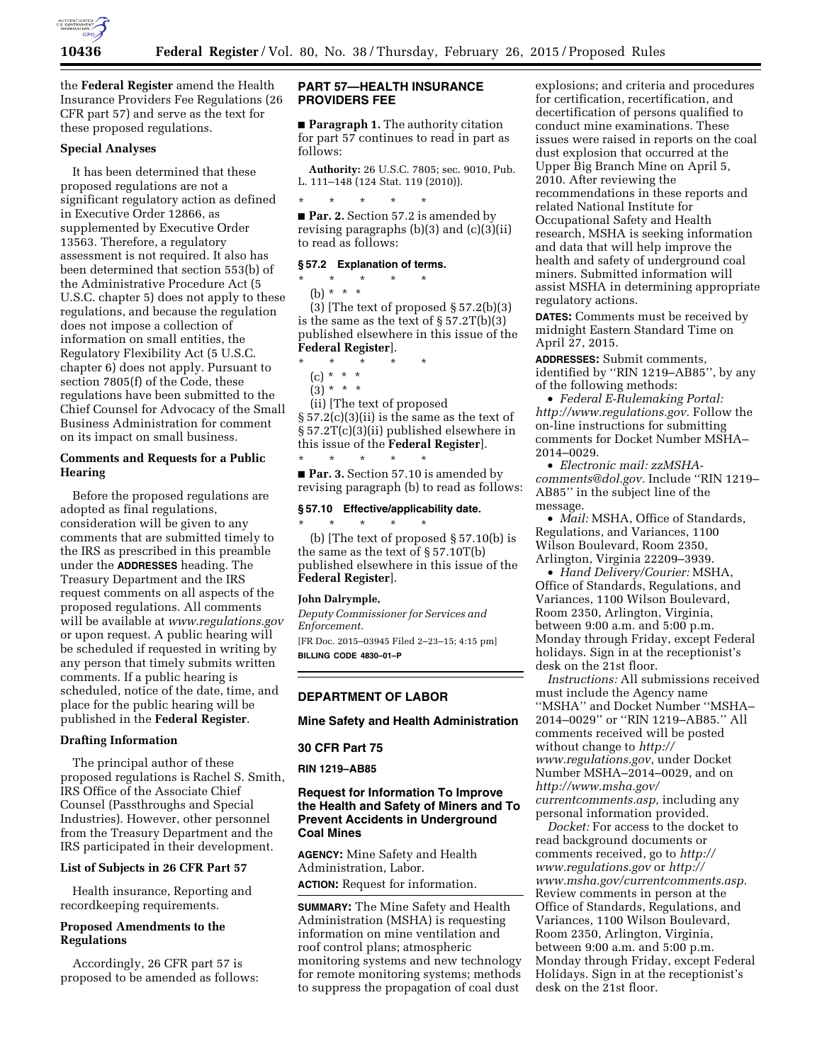

the **Federal Register** amend the Health Insurance Providers Fee Regulations (26 CFR part 57) and serve as the text for these proposed regulations.

# **Special Analyses**

It has been determined that these proposed regulations are not a significant regulatory action as defined in Executive Order 12866, as supplemented by Executive Order 13563. Therefore, a regulatory assessment is not required. It also has been determined that section 553(b) of the Administrative Procedure Act (5 U.S.C. chapter 5) does not apply to these regulations, and because the regulation does not impose a collection of information on small entities, the Regulatory Flexibility Act (5 U.S.C. chapter 6) does not apply. Pursuant to section 7805(f) of the Code, these regulations have been submitted to the Chief Counsel for Advocacy of the Small Business Administration for comment on its impact on small business.

#### **Comments and Requests for a Public Hearing**

Before the proposed regulations are adopted as final regulations, consideration will be given to any comments that are submitted timely to the IRS as prescribed in this preamble under the **ADDRESSES** heading. The Treasury Department and the IRS request comments on all aspects of the proposed regulations. All comments will be available at *[www.regulations.gov](http://www.regulations.gov)*  or upon request. A public hearing will be scheduled if requested in writing by any person that timely submits written comments. If a public hearing is scheduled, notice of the date, time, and place for the public hearing will be published in the **Federal Register**.

## **Drafting Information**

The principal author of these proposed regulations is Rachel S. Smith, IRS Office of the Associate Chief Counsel (Passthroughs and Special Industries). However, other personnel from the Treasury Department and the IRS participated in their development.

#### **List of Subjects in 26 CFR Part 57**

Health insurance, Reporting and recordkeeping requirements.

# **Proposed Amendments to the Regulations**

Accordingly, 26 CFR part 57 is proposed to be amended as follows:

# **PART 57—HEALTH INSURANCE PROVIDERS FEE**

■ **Paragraph 1.** The authority citation for part 57 continues to read in part as follows:

**Authority:** 26 U.S.C. 7805; sec. 9010, Pub. L. 111–148 (124 Stat. 119 (2010)).

\* \* \* \* \* ■ **Par. 2.** Section 57.2 is amended by revising paragraphs (b)(3) and (c)(3)(ii) to read as follows:

## **§ 57.2 Explanation of terms.**

 $\star$   $\qquad$   $\star$   $\qquad$   $\star$ (b) \* \* \*

(3) [The text of proposed  $\S 57.2(b)(3)$ is the same as the text of § 57.2T(b)(3) published elsewhere in this issue of the **Federal Register**].

- \* \* \* \* \*
	- (c) \* \* \*
	- $(3) * * * *$

(ii) [The text of proposed § 57.2(c)(3)(ii) is the same as the text of § 57.2T(c)(3)(ii) published elsewhere in this issue of the **Federal Register**]. \* \* \* \* \*

■ **Par. 3.** Section 57.10 is amended by revising paragraph (b) to read as follows:

# **§ 57.10 Effective/applicability date.**

\* \* \* \* \* (b) [The text of proposed § 57.10(b) is the same as the text of § 57.10T(b) published elsewhere in this issue of the **Federal Register**].

#### **John Dalrymple,**

*Deputy Commissioner for Services and Enforcement.* 

[FR Doc. 2015–03945 Filed 2–23–15; 4:15 pm] **BILLING CODE 4830–01–P** 

### **DEPARTMENT OF LABOR**

**Mine Safety and Health Administration** 

#### **30 CFR Part 75**

**RIN 1219–AB85** 

# **Request for Information To Improve the Health and Safety of Miners and To Prevent Accidents in Underground Coal Mines**

**AGENCY:** Mine Safety and Health Administration, Labor. **ACTION:** Request for information.

**SUMMARY:** The Mine Safety and Health Administration (MSHA) is requesting information on mine ventilation and roof control plans; atmospheric monitoring systems and new technology for remote monitoring systems; methods to suppress the propagation of coal dust

explosions; and criteria and procedures for certification, recertification, and decertification of persons qualified to conduct mine examinations. These issues were raised in reports on the coal dust explosion that occurred at the Upper Big Branch Mine on April 5, 2010. After reviewing the recommendations in these reports and related National Institute for Occupational Safety and Health research, MSHA is seeking information and data that will help improve the health and safety of underground coal miners. Submitted information will assist MSHA in determining appropriate regulatory actions.

**DATES:** Comments must be received by midnight Eastern Standard Time on April 27, 2015.

**ADDRESSES:** Submit comments, identified by ''RIN 1219–AB85'', by any of the following methods:

• *Federal E-Rulemaking Portal: [http://www.regulations.gov.](http://www.regulations.gov)* Follow the on-line instructions for submitting comments for Docket Number MSHA– 2014–0029.

• *Electronic mail: [zzMSHA](mailto:zzMSHA-comments@dol.gov)[comments@dol.gov.](mailto:zzMSHA-comments@dol.gov)* Include ''RIN 1219– AB85'' in the subject line of the message.

• *Mail:* MSHA, Office of Standards, Regulations, and Variances, 1100 Wilson Boulevard, Room 2350, Arlington, Virginia 22209–3939.

• *Hand Delivery/Courier:* MSHA, Office of Standards, Regulations, and Variances, 1100 Wilson Boulevard, Room 2350, Arlington, Virginia, between 9:00 a.m. and 5:00 p.m. Monday through Friday, except Federal holidays. Sign in at the receptionist's desk on the 21st floor.

*Instructions:* All submissions received must include the Agency name ''MSHA'' and Docket Number ''MSHA– 2014–0029'' or ''RIN 1219–AB85.'' All comments received will be posted without change to *[http://](http://www.regulations.gov) [www.regulations.gov,](http://www.regulations.gov)* under Docket Number MSHA–2014–0029, and on *[http://www.msha.gov/](http://www.msha.gov/currentcomments.asp) [currentcomments.asp,](http://www.msha.gov/currentcomments.asp)* including any personal information provided.

*Docket:* For access to the docket to read background documents or comments received, go to *[http://](http://www.regulations.gov) [www.regulations.gov](http://www.regulations.gov)* or *[http://](http://www.msha.gov/currentcomments.asp) [www.msha.gov/currentcomments.asp.](http://www.msha.gov/currentcomments.asp)*  Review comments in person at the Office of Standards, Regulations, and Variances, 1100 Wilson Boulevard, Room 2350, Arlington, Virginia, between 9:00 a.m. and 5:00 p.m. Monday through Friday, except Federal Holidays. Sign in at the receptionist's desk on the 21st floor.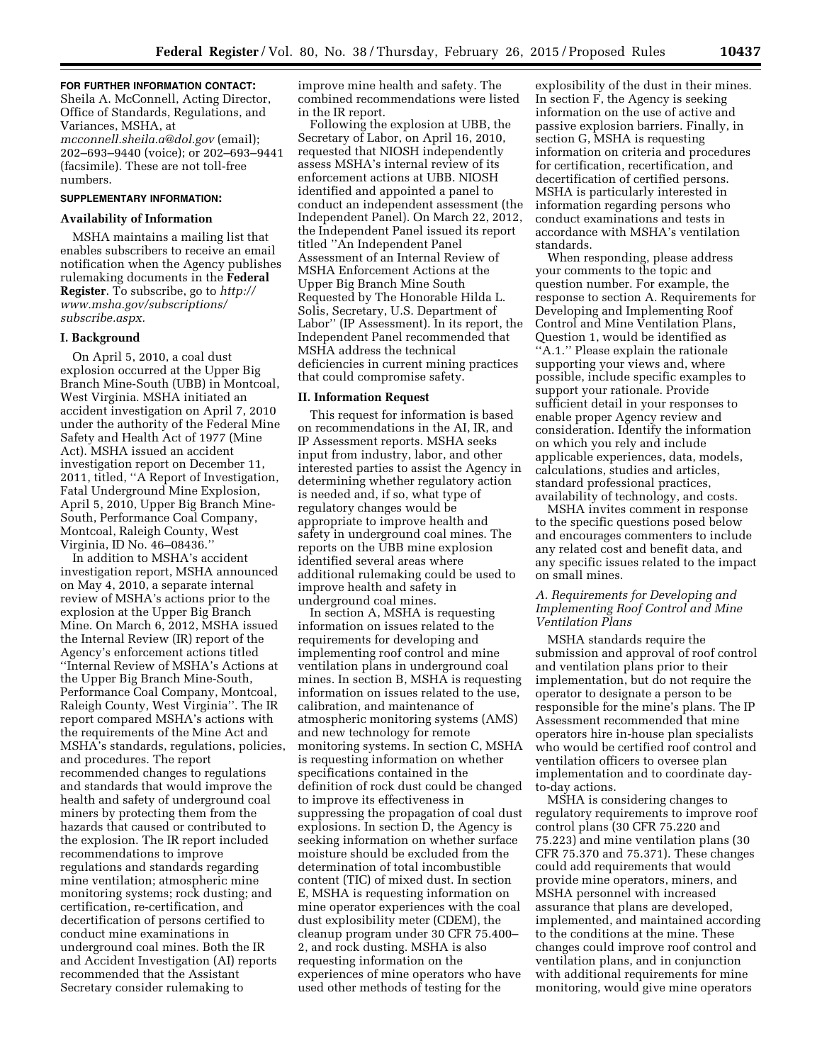## **FOR FURTHER INFORMATION CONTACT:**

Sheila A. McConnell, Acting Director, Office of Standards, Regulations, and Variances, MSHA, at *[mcconnell.sheila.a@dol.gov](mailto:mcconnell.sheila.a@dol.gov)* (email); 202–693–9440 (voice); or 202–693–9441 (facsimile). These are not toll-free numbers.

# **SUPPLEMENTARY INFORMATION:**

#### **Availability of Information**

MSHA maintains a mailing list that enables subscribers to receive an email notification when the Agency publishes rulemaking documents in the **Federal Register**. To subscribe, go to *[http://](http://www.msha.gov/subscriptions/subscribe.aspx) [www.msha.gov/subscriptions/](http://www.msha.gov/subscriptions/subscribe.aspx) [subscribe.aspx.](http://www.msha.gov/subscriptions/subscribe.aspx)* 

#### **I. Background**

On April 5, 2010, a coal dust explosion occurred at the Upper Big Branch Mine-South (UBB) in Montcoal, West Virginia. MSHA initiated an accident investigation on April 7, 2010 under the authority of the Federal Mine Safety and Health Act of 1977 (Mine Act). MSHA issued an accident investigation report on December 11, 2011, titled, ''A Report of Investigation, Fatal Underground Mine Explosion, April 5, 2010, Upper Big Branch Mine-South, Performance Coal Company, Montcoal, Raleigh County, West Virginia, ID No. 46–08436.''

In addition to MSHA's accident investigation report, MSHA announced on May 4, 2010, a separate internal review of MSHA's actions prior to the explosion at the Upper Big Branch Mine. On March 6, 2012, MSHA issued the Internal Review (IR) report of the Agency's enforcement actions titled ''Internal Review of MSHA's Actions at the Upper Big Branch Mine-South, Performance Coal Company, Montcoal, Raleigh County, West Virginia''. The IR report compared MSHA's actions with the requirements of the Mine Act and MSHA's standards, regulations, policies, and procedures. The report recommended changes to regulations and standards that would improve the health and safety of underground coal miners by protecting them from the hazards that caused or contributed to the explosion. The IR report included recommendations to improve regulations and standards regarding mine ventilation; atmospheric mine monitoring systems; rock dusting; and certification, re-certification, and decertification of persons certified to conduct mine examinations in underground coal mines. Both the IR and Accident Investigation (AI) reports recommended that the Assistant Secretary consider rulemaking to

improve mine health and safety. The combined recommendations were listed in the IR report.

Following the explosion at UBB, the Secretary of Labor, on April 16, 2010, requested that NIOSH independently assess MSHA's internal review of its enforcement actions at UBB. NIOSH identified and appointed a panel to conduct an independent assessment (the Independent Panel). On March 22, 2012, the Independent Panel issued its report titled ''An Independent Panel Assessment of an Internal Review of MSHA Enforcement Actions at the Upper Big Branch Mine South Requested by The Honorable Hilda L. Solis, Secretary, U.S. Department of Labor'' (IP Assessment). In its report, the Independent Panel recommended that MSHA address the technical deficiencies in current mining practices that could compromise safety.

#### **II. Information Request**

This request for information is based on recommendations in the AI, IR, and IP Assessment reports. MSHA seeks input from industry, labor, and other interested parties to assist the Agency in determining whether regulatory action is needed and, if so, what type of regulatory changes would be appropriate to improve health and safety in underground coal mines. The reports on the UBB mine explosion identified several areas where additional rulemaking could be used to improve health and safety in underground coal mines.

In section A, MSHA is requesting information on issues related to the requirements for developing and implementing roof control and mine ventilation plans in underground coal mines. In section B, MSHA is requesting information on issues related to the use, calibration, and maintenance of atmospheric monitoring systems (AMS) and new technology for remote monitoring systems. In section C, MSHA is requesting information on whether specifications contained in the definition of rock dust could be changed to improve its effectiveness in suppressing the propagation of coal dust explosions. In section D, the Agency is seeking information on whether surface moisture should be excluded from the determination of total incombustible content (TIC) of mixed dust. In section E, MSHA is requesting information on mine operator experiences with the coal dust explosibility meter (CDEM), the cleanup program under 30 CFR 75.400– 2, and rock dusting. MSHA is also requesting information on the experiences of mine operators who have used other methods of testing for the

explosibility of the dust in their mines. In section F, the Agency is seeking information on the use of active and passive explosion barriers. Finally, in section G, MSHA is requesting information on criteria and procedures for certification, recertification, and decertification of certified persons. MSHA is particularly interested in information regarding persons who conduct examinations and tests in accordance with MSHA's ventilation standards.

When responding, please address your comments to the topic and question number. For example, the response to section A. Requirements for Developing and Implementing Roof Control and Mine Ventilation Plans, Question 1, would be identified as ''A.1.'' Please explain the rationale supporting your views and, where possible, include specific examples to support your rationale. Provide sufficient detail in your responses to enable proper Agency review and consideration. Identify the information on which you rely and include applicable experiences, data, models, calculations, studies and articles, standard professional practices, availability of technology, and costs.

MSHA invites comment in response to the specific questions posed below and encourages commenters to include any related cost and benefit data, and any specific issues related to the impact on small mines.

## *A. Requirements for Developing and Implementing Roof Control and Mine Ventilation Plans*

MSHA standards require the submission and approval of roof control and ventilation plans prior to their implementation, but do not require the operator to designate a person to be responsible for the mine's plans. The IP Assessment recommended that mine operators hire in-house plan specialists who would be certified roof control and ventilation officers to oversee plan implementation and to coordinate dayto-day actions.

MSHA is considering changes to regulatory requirements to improve roof control plans (30 CFR 75.220 and 75.223) and mine ventilation plans (30 CFR 75.370 and 75.371). These changes could add requirements that would provide mine operators, miners, and MSHA personnel with increased assurance that plans are developed, implemented, and maintained according to the conditions at the mine. These changes could improve roof control and ventilation plans, and in conjunction with additional requirements for mine monitoring, would give mine operators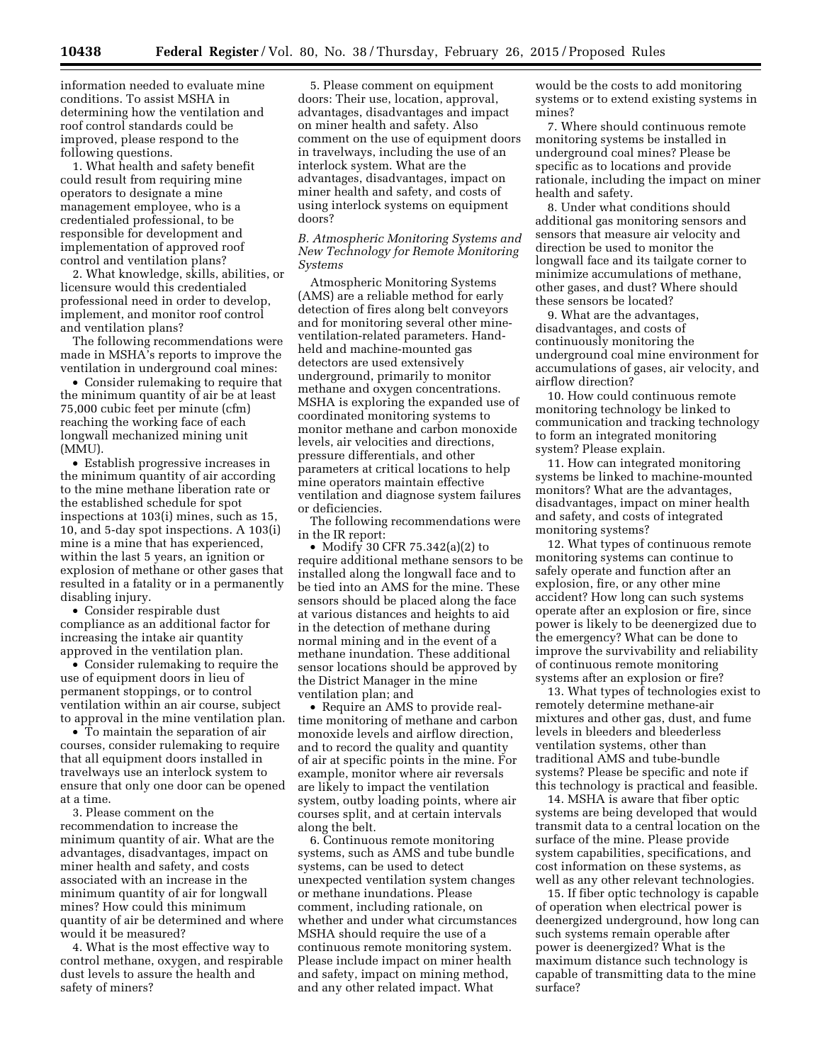information needed to evaluate mine conditions. To assist MSHA in determining how the ventilation and roof control standards could be improved, please respond to the following questions.

1. What health and safety benefit could result from requiring mine operators to designate a mine management employee, who is a credentialed professional, to be responsible for development and implementation of approved roof control and ventilation plans?

2. What knowledge, skills, abilities, or licensure would this credentialed professional need in order to develop, implement, and monitor roof control and ventilation plans?

The following recommendations were made in MSHA's reports to improve the ventilation in underground coal mines:

• Consider rulemaking to require that the minimum quantity of air be at least 75,000 cubic feet per minute (cfm) reaching the working face of each longwall mechanized mining unit (MMU).

• Establish progressive increases in the minimum quantity of air according to the mine methane liberation rate or the established schedule for spot inspections at 103(i) mines, such as 15, 10, and 5-day spot inspections. A 103(i) mine is a mine that has experienced, within the last 5 years, an ignition or explosion of methane or other gases that resulted in a fatality or in a permanently disabling injury.

• Consider respirable dust compliance as an additional factor for increasing the intake air quantity approved in the ventilation plan.

• Consider rulemaking to require the use of equipment doors in lieu of permanent stoppings, or to control ventilation within an air course, subject to approval in the mine ventilation plan.

• To maintain the separation of air courses, consider rulemaking to require that all equipment doors installed in travelways use an interlock system to ensure that only one door can be opened at a time.

3. Please comment on the recommendation to increase the minimum quantity of air. What are the advantages, disadvantages, impact on miner health and safety, and costs associated with an increase in the minimum quantity of air for longwall mines? How could this minimum quantity of air be determined and where would it be measured?

4. What is the most effective way to control methane, oxygen, and respirable dust levels to assure the health and safety of miners?

5. Please comment on equipment doors: Their use, location, approval, advantages, disadvantages and impact on miner health and safety. Also comment on the use of equipment doors in travelways, including the use of an interlock system. What are the advantages, disadvantages, impact on miner health and safety, and costs of using interlock systems on equipment doors?

*B. Atmospheric Monitoring Systems and New Technology for Remote Monitoring Systems* 

Atmospheric Monitoring Systems (AMS) are a reliable method for early detection of fires along belt conveyors and for monitoring several other mineventilation-related parameters. Handheld and machine-mounted gas detectors are used extensively underground, primarily to monitor methane and oxygen concentrations. MSHA is exploring the expanded use of coordinated monitoring systems to monitor methane and carbon monoxide levels, air velocities and directions, pressure differentials, and other parameters at critical locations to help mine operators maintain effective ventilation and diagnose system failures or deficiencies.

The following recommendations were in the IR report:

• Modify 30 CFR 75.342(a)(2) to require additional methane sensors to be installed along the longwall face and to be tied into an AMS for the mine. These sensors should be placed along the face at various distances and heights to aid in the detection of methane during normal mining and in the event of a methane inundation. These additional sensor locations should be approved by the District Manager in the mine ventilation plan; and

• Require an AMS to provide realtime monitoring of methane and carbon monoxide levels and airflow direction, and to record the quality and quantity of air at specific points in the mine. For example, monitor where air reversals are likely to impact the ventilation system, outby loading points, where air courses split, and at certain intervals along the belt.

6. Continuous remote monitoring systems, such as AMS and tube bundle systems, can be used to detect unexpected ventilation system changes or methane inundations. Please comment, including rationale, on whether and under what circumstances MSHA should require the use of a continuous remote monitoring system. Please include impact on miner health and safety, impact on mining method, and any other related impact. What

would be the costs to add monitoring systems or to extend existing systems in mines?

7. Where should continuous remote monitoring systems be installed in underground coal mines? Please be specific as to locations and provide rationale, including the impact on miner health and safety.

8. Under what conditions should additional gas monitoring sensors and sensors that measure air velocity and direction be used to monitor the longwall face and its tailgate corner to minimize accumulations of methane, other gases, and dust? Where should these sensors be located?

9. What are the advantages, disadvantages, and costs of continuously monitoring the underground coal mine environment for accumulations of gases, air velocity, and airflow direction?

10. How could continuous remote monitoring technology be linked to communication and tracking technology to form an integrated monitoring system? Please explain.

11. How can integrated monitoring systems be linked to machine-mounted monitors? What are the advantages, disadvantages, impact on miner health and safety, and costs of integrated monitoring systems?

12. What types of continuous remote monitoring systems can continue to safely operate and function after an explosion, fire, or any other mine accident? How long can such systems operate after an explosion or fire, since power is likely to be deenergized due to the emergency? What can be done to improve the survivability and reliability of continuous remote monitoring systems after an explosion or fire?

13. What types of technologies exist to remotely determine methane-air mixtures and other gas, dust, and fume levels in bleeders and bleederless ventilation systems, other than traditional AMS and tube-bundle systems? Please be specific and note if this technology is practical and feasible.

14. MSHA is aware that fiber optic systems are being developed that would transmit data to a central location on the surface of the mine. Please provide system capabilities, specifications, and cost information on these systems, as well as any other relevant technologies.

15. If fiber optic technology is capable of operation when electrical power is deenergized underground, how long can such systems remain operable after power is deenergized? What is the maximum distance such technology is capable of transmitting data to the mine surface?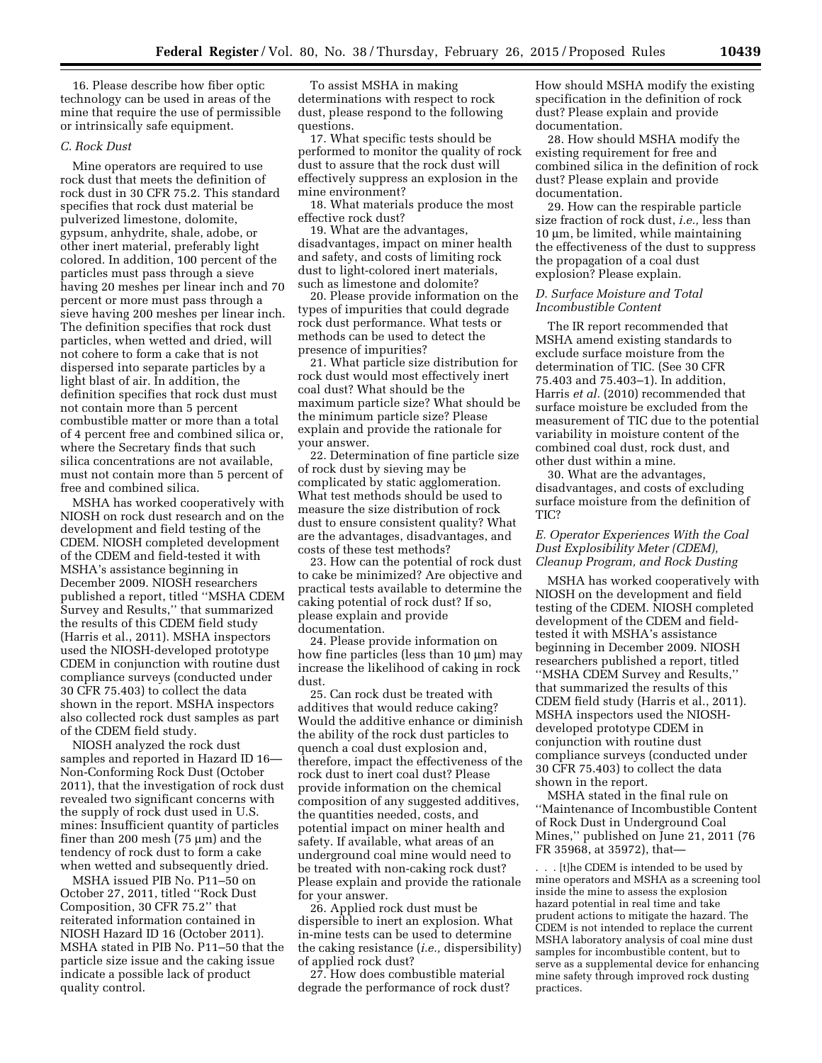16. Please describe how fiber optic technology can be used in areas of the mine that require the use of permissible or intrinsically safe equipment.

#### *C. Rock Dust*

Mine operators are required to use rock dust that meets the definition of rock dust in 30 CFR 75.2. This standard specifies that rock dust material be pulverized limestone, dolomite, gypsum, anhydrite, shale, adobe, or other inert material, preferably light colored. In addition, 100 percent of the particles must pass through a sieve having 20 meshes per linear inch and 70 percent or more must pass through a sieve having 200 meshes per linear inch. The definition specifies that rock dust particles, when wetted and dried, will not cohere to form a cake that is not dispersed into separate particles by a light blast of air. In addition, the definition specifies that rock dust must not contain more than 5 percent combustible matter or more than a total of 4 percent free and combined silica or, where the Secretary finds that such silica concentrations are not available, must not contain more than 5 percent of free and combined silica.

MSHA has worked cooperatively with NIOSH on rock dust research and on the development and field testing of the CDEM. NIOSH completed development of the CDEM and field-tested it with MSHA's assistance beginning in December 2009. NIOSH researchers published a report, titled ''MSHA CDEM Survey and Results,'' that summarized the results of this CDEM field study (Harris et al., 2011). MSHA inspectors used the NIOSH-developed prototype CDEM in conjunction with routine dust compliance surveys (conducted under 30 CFR 75.403) to collect the data shown in the report. MSHA inspectors also collected rock dust samples as part of the CDEM field study.

NIOSH analyzed the rock dust samples and reported in Hazard ID 16— Non-Conforming Rock Dust (October 2011), that the investigation of rock dust revealed two significant concerns with the supply of rock dust used in U.S. mines: Insufficient quantity of particles finer than 200 mesh  $(75 \mu m)$  and the tendency of rock dust to form a cake when wetted and subsequently dried.

MSHA issued PIB No. P11–50 on October 27, 2011, titled ''Rock Dust Composition, 30 CFR 75.2'' that reiterated information contained in NIOSH Hazard ID 16 (October 2011). MSHA stated in PIB No. P11–50 that the particle size issue and the caking issue indicate a possible lack of product quality control.

To assist MSHA in making determinations with respect to rock dust, please respond to the following questions.

17. What specific tests should be performed to monitor the quality of rock dust to assure that the rock dust will effectively suppress an explosion in the mine environment?

18. What materials produce the most effective rock dust?

19. What are the advantages, disadvantages, impact on miner health and safety, and costs of limiting rock dust to light-colored inert materials, such as limestone and dolomite?

20. Please provide information on the types of impurities that could degrade rock dust performance. What tests or methods can be used to detect the presence of impurities?

21. What particle size distribution for rock dust would most effectively inert coal dust? What should be the maximum particle size? What should be the minimum particle size? Please explain and provide the rationale for your answer.

22. Determination of fine particle size of rock dust by sieving may be complicated by static agglomeration. What test methods should be used to measure the size distribution of rock dust to ensure consistent quality? What are the advantages, disadvantages, and costs of these test methods?

23. How can the potential of rock dust to cake be minimized? Are objective and practical tests available to determine the caking potential of rock dust? If so, please explain and provide documentation.

24. Please provide information on how fine particles (less than  $10 \mu m$ ) may increase the likelihood of caking in rock dust.

25. Can rock dust be treated with additives that would reduce caking? Would the additive enhance or diminish the ability of the rock dust particles to quench a coal dust explosion and, therefore, impact the effectiveness of the rock dust to inert coal dust? Please provide information on the chemical composition of any suggested additives, the quantities needed, costs, and potential impact on miner health and safety. If available, what areas of an underground coal mine would need to be treated with non-caking rock dust? Please explain and provide the rationale for your answer.

26. Applied rock dust must be dispersible to inert an explosion. What in-mine tests can be used to determine the caking resistance (*i.e.,* dispersibility) of applied rock dust?

27. How does combustible material degrade the performance of rock dust? How should MSHA modify the existing specification in the definition of rock dust? Please explain and provide documentation.

28. How should MSHA modify the existing requirement for free and combined silica in the definition of rock dust? Please explain and provide documentation.

29. How can the respirable particle size fraction of rock dust, *i.e.,* less than  $10 \mu m$ , be limited, while maintaining the effectiveness of the dust to suppress the propagation of a coal dust explosion? Please explain.

# *D. Surface Moisture and Total Incombustible Content*

The IR report recommended that MSHA amend existing standards to exclude surface moisture from the determination of TIC. (See 30 CFR 75.403 and 75.403–1). In addition, Harris *et al.* (2010) recommended that surface moisture be excluded from the measurement of TIC due to the potential variability in moisture content of the combined coal dust, rock dust, and other dust within a mine.

30. What are the advantages, disadvantages, and costs of excluding surface moisture from the definition of TIC?

# *E. Operator Experiences With the Coal Dust Explosibility Meter (CDEM), Cleanup Program, and Rock Dusting*

MSHA has worked cooperatively with NIOSH on the development and field testing of the CDEM. NIOSH completed development of the CDEM and fieldtested it with MSHA's assistance beginning in December 2009. NIOSH researchers published a report, titled ''MSHA CDEM Survey and Results,'' that summarized the results of this CDEM field study (Harris et al., 2011). MSHA inspectors used the NIOSHdeveloped prototype CDEM in conjunction with routine dust compliance surveys (conducted under 30 CFR 75.403) to collect the data shown in the report.

MSHA stated in the final rule on ''Maintenance of Incombustible Content of Rock Dust in Underground Coal Mines,'' published on June 21, 2011 (76 FR 35968, at 35972), that—

. . . [t]he CDEM is intended to be used by mine operators and MSHA as a screening tool inside the mine to assess the explosion hazard potential in real time and take prudent actions to mitigate the hazard. The CDEM is not intended to replace the current MSHA laboratory analysis of coal mine dust samples for incombustible content, but to serve as a supplemental device for enhancing mine safety through improved rock dusting practices.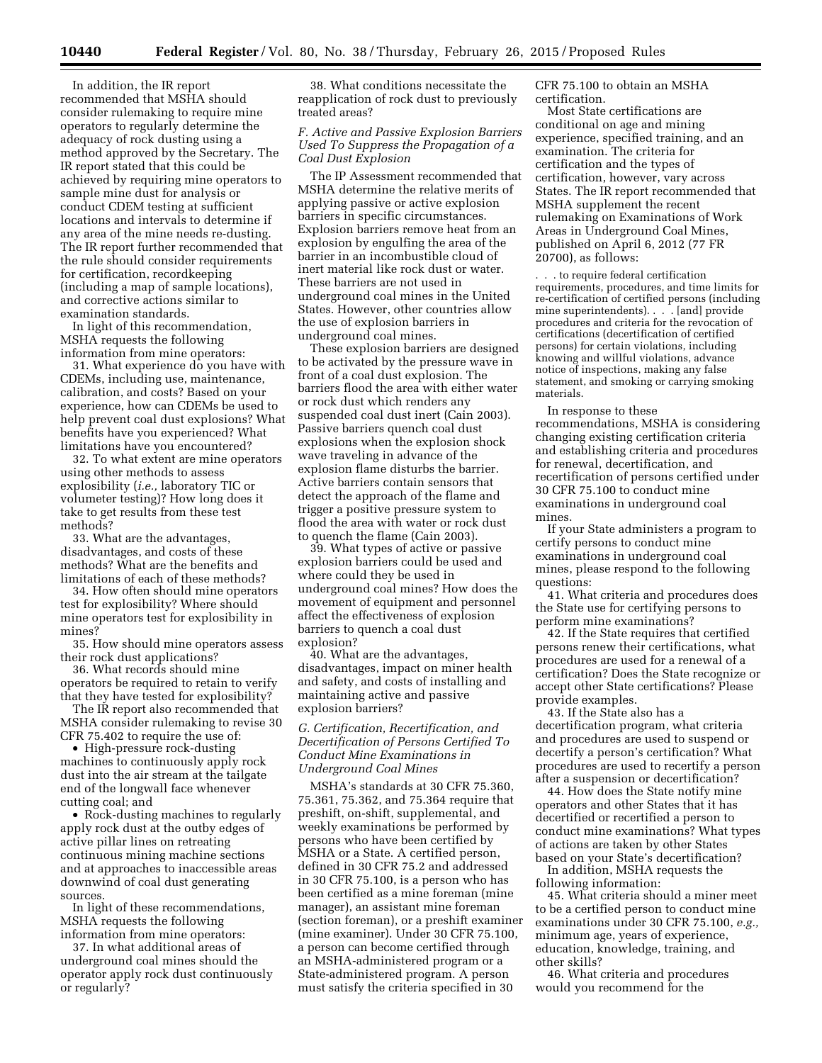In addition, the IR report recommended that MSHA should consider rulemaking to require mine operators to regularly determine the adequacy of rock dusting using a method approved by the Secretary. The IR report stated that this could be achieved by requiring mine operators to sample mine dust for analysis or conduct CDEM testing at sufficient locations and intervals to determine if any area of the mine needs re-dusting. The IR report further recommended that the rule should consider requirements for certification, recordkeeping (including a map of sample locations), and corrective actions similar to examination standards.

In light of this recommendation, MSHA requests the following information from mine operators:

31. What experience do you have with CDEMs, including use, maintenance, calibration, and costs? Based on your experience, how can CDEMs be used to help prevent coal dust explosions? What benefits have you experienced? What limitations have you encountered?

32. To what extent are mine operators using other methods to assess explosibility (*i.e.,* laboratory TIC or volumeter testing)? How long does it take to get results from these test methods?

33. What are the advantages, disadvantages, and costs of these methods? What are the benefits and limitations of each of these methods?

34. How often should mine operators test for explosibility? Where should mine operators test for explosibility in mines?

35. How should mine operators assess their rock dust applications?

36. What records should mine operators be required to retain to verify that they have tested for explosibility?

The IR report also recommended that MSHA consider rulemaking to revise 30 CFR 75.402 to require the use of:

• High-pressure rock-dusting machines to continuously apply rock dust into the air stream at the tailgate end of the longwall face whenever cutting coal; and

• Rock-dusting machines to regularly apply rock dust at the outby edges of active pillar lines on retreating continuous mining machine sections and at approaches to inaccessible areas downwind of coal dust generating sources.

In light of these recommendations, MSHA requests the following information from mine operators:

37. In what additional areas of underground coal mines should the operator apply rock dust continuously or regularly?

38. What conditions necessitate the reapplication of rock dust to previously treated areas?

# *F. Active and Passive Explosion Barriers Used To Suppress the Propagation of a Coal Dust Explosion*

The IP Assessment recommended that MSHA determine the relative merits of applying passive or active explosion barriers in specific circumstances. Explosion barriers remove heat from an explosion by engulfing the area of the barrier in an incombustible cloud of inert material like rock dust or water. These barriers are not used in underground coal mines in the United States. However, other countries allow the use of explosion barriers in underground coal mines.

These explosion barriers are designed to be activated by the pressure wave in front of a coal dust explosion. The barriers flood the area with either water or rock dust which renders any suspended coal dust inert (Cain 2003). Passive barriers quench coal dust explosions when the explosion shock wave traveling in advance of the explosion flame disturbs the barrier. Active barriers contain sensors that detect the approach of the flame and trigger a positive pressure system to flood the area with water or rock dust to quench the flame (Cain 2003).

39. What types of active or passive explosion barriers could be used and where could they be used in underground coal mines? How does the movement of equipment and personnel affect the effectiveness of explosion barriers to quench a coal dust explosion?

40. What are the advantages, disadvantages, impact on miner health and safety, and costs of installing and maintaining active and passive explosion barriers?

*G. Certification, Recertification, and Decertification of Persons Certified To Conduct Mine Examinations in Underground Coal Mines* 

MSHA's standards at 30 CFR 75.360, 75.361, 75.362, and 75.364 require that preshift, on-shift, supplemental, and weekly examinations be performed by persons who have been certified by MSHA or a State. A certified person, defined in 30 CFR 75.2 and addressed in 30 CFR 75.100, is a person who has been certified as a mine foreman (mine manager), an assistant mine foreman (section foreman), or a preshift examiner (mine examiner). Under 30 CFR 75.100, a person can become certified through an MSHA-administered program or a State-administered program. A person must satisfy the criteria specified in 30

CFR 75.100 to obtain an MSHA certification.

Most State certifications are conditional on age and mining experience, specified training, and an examination. The criteria for certification and the types of certification, however, vary across States. The IR report recommended that MSHA supplement the recent rulemaking on Examinations of Work Areas in Underground Coal Mines, published on April 6, 2012 (77 FR 20700), as follows:

. . . to require federal certification requirements, procedures, and time limits for re-certification of certified persons (including mine superintendents). . . . [and] provide procedures and criteria for the revocation of certifications (decertification of certified persons) for certain violations, including knowing and willful violations, advance notice of inspections, making any false statement, and smoking or carrying smoking materials.

In response to these recommendations, MSHA is considering changing existing certification criteria and establishing criteria and procedures for renewal, decertification, and recertification of persons certified under 30 CFR 75.100 to conduct mine examinations in underground coal mines.

If your State administers a program to certify persons to conduct mine examinations in underground coal mines, please respond to the following questions:

41. What criteria and procedures does the State use for certifying persons to perform mine examinations?

42. If the State requires that certified persons renew their certifications, what procedures are used for a renewal of a certification? Does the State recognize or accept other State certifications? Please provide examples.

43. If the State also has a decertification program, what criteria and procedures are used to suspend or decertify a person's certification? What procedures are used to recertify a person after a suspension or decertification?

44. How does the State notify mine operators and other States that it has decertified or recertified a person to conduct mine examinations? What types of actions are taken by other States based on your State's decertification?

In addition, MSHA requests the following information:

45. What criteria should a miner meet to be a certified person to conduct mine examinations under 30 CFR 75.100, *e.g.,*  minimum age, years of experience, education, knowledge, training, and other skills?

46. What criteria and procedures would you recommend for the